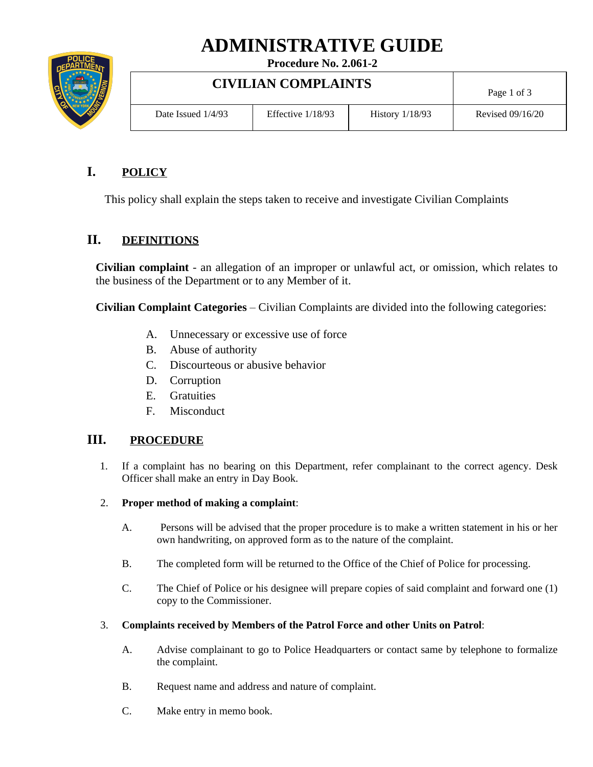# **ADMINISTRATIVE GUIDE**



**Procedure No. 2.061-2**

**CIVILIAN COMPLAINTS**

| CIVILIAN COMPLAINTS |                     |                   | Page 1 of 3        |
|---------------------|---------------------|-------------------|--------------------|
| Date Issued 1/4/93  | Effective $1/18/93$ | History $1/18/93$ | Revised $09/16/20$ |

Τ

# **I. POLICY**

This policy shall explain the steps taken to receive and investigate Civilian Complaints

## **II. DEFINITIONS**

**Civilian complaint** - an allegation of an improper or unlawful act, or omission, which relates to the business of the Department or to any Member of it.

**Civilian Complaint Categories** – Civilian Complaints are divided into the following categories:

- A. Unnecessary or excessive use of force
- B. Abuse of authority
- C. Discourteous or abusive behavior
- D. Corruption
- E. Gratuities
- F. Misconduct

## **III. PROCEDURE**

- 1. If a complaint has no bearing on this Department, refer complainant to the correct agency. Desk Officer shall make an entry in Day Book.
- 2. **Proper method of making a complaint**:
	- A. Persons will be advised that the proper procedure is to make a written statement in his or her own handwriting, on approved form as to the nature of the complaint.
	- B. The completed form will be returned to the Office of the Chief of Police for processing.
	- C. The Chief of Police or his designee will prepare copies of said complaint and forward one (1) copy to the Commissioner.

### 3. **Complaints received by Members of the Patrol Force and other Units on Patrol**:

- A. Advise complainant to go to Police Headquarters or contact same by telephone to formalize the complaint.
- B. Request name and address and nature of complaint.
- C. Make entry in memo book.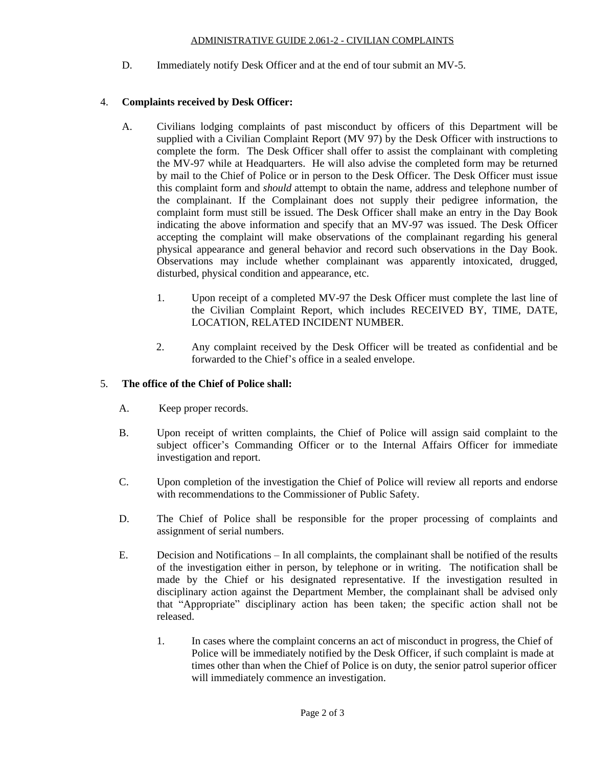#### ADMINISTRATIVE GUIDE 2.061-2 - CIVILIAN COMPLAINTS

D. Immediately notify Desk Officer and at the end of tour submit an MV-5.

#### 4. **Complaints received by Desk Officer:**

- A. Civilians lodging complaints of past misconduct by officers of this Department will be supplied with a Civilian Complaint Report (MV 97) by the Desk Officer with instructions to complete the form. The Desk Officer shall offer to assist the complainant with completing the MV-97 while at Headquarters. He will also advise the completed form may be returned by mail to the Chief of Police or in person to the Desk Officer. The Desk Officer must issue this complaint form and *should* attempt to obtain the name, address and telephone number of the complainant. If the Complainant does not supply their pedigree information, the complaint form must still be issued. The Desk Officer shall make an entry in the Day Book indicating the above information and specify that an MV-97 was issued. The Desk Officer accepting the complaint will make observations of the complainant regarding his general physical appearance and general behavior and record such observations in the Day Book. Observations may include whether complainant was apparently intoxicated, drugged, disturbed, physical condition and appearance, etc.
	- 1. Upon receipt of a completed MV-97 the Desk Officer must complete the last line of the Civilian Complaint Report, which includes RECEIVED BY, TIME, DATE, LOCATION, RELATED INCIDENT NUMBER.
	- 2. Any complaint received by the Desk Officer will be treated as confidential and be forwarded to the Chief's office in a sealed envelope.

#### 5. **The office of the Chief of Police shall:**

- A. Keep proper records.
- B. Upon receipt of written complaints, the Chief of Police will assign said complaint to the subject officer's Commanding Officer or to the Internal Affairs Officer for immediate investigation and report.
- C. Upon completion of the investigation the Chief of Police will review all reports and endorse with recommendations to the Commissioner of Public Safety.
- D. The Chief of Police shall be responsible for the proper processing of complaints and assignment of serial numbers.
- E. Decision and Notifications In all complaints, the complainant shall be notified of the results of the investigation either in person, by telephone or in writing. The notification shall be made by the Chief or his designated representative. If the investigation resulted in disciplinary action against the Department Member, the complainant shall be advised only that "Appropriate" disciplinary action has been taken; the specific action shall not be released.
	- 1. In cases where the complaint concerns an act of misconduct in progress, the Chief of Police will be immediately notified by the Desk Officer, if such complaint is made at times other than when the Chief of Police is on duty, the senior patrol superior officer will immediately commence an investigation.